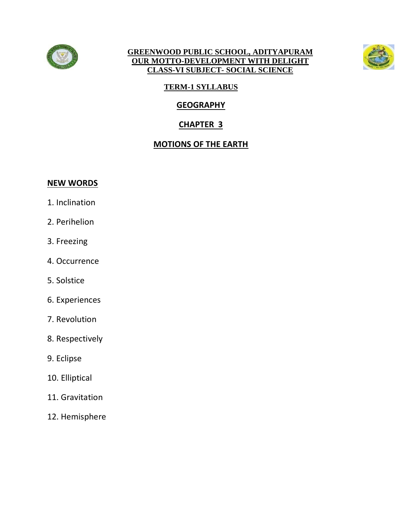

#### **GREENWOOD PUBLIC SCHOOL, ADITYAPURAM OUR MOTTO-DEVELOPMENT WITH DELIGHT CLASS-VI SUBJECT- SOCIAL SCIENCE**



# **TERM-1 SYLLABUS**

# **GEOGRAPHY**

# **CHAPTER 3**

# **MOTIONS OF THE EARTH**

#### **NEW WORDS**

- 1. Inclination
- 2. Perihelion
- 3. Freezing
- 4. Occurrence
- 5. Solstice
- 6. Experiences
- 7. Revolution
- 8. Respectively
- 9. Eclipse
- 10. Elliptical
- 11. Gravitation
- 12. Hemisphere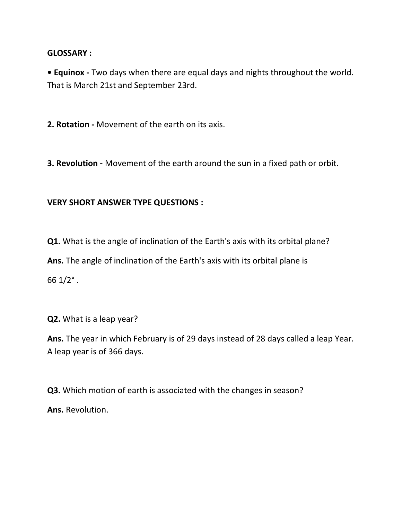#### **GLOSSARY :**

**• Equinox -** Two days when there are equal days and nights throughout the world. That is March 21st and September 23rd.

**2. Rotation -** Movement of the earth on its axis.

**3. Revolution -** Movement of the earth around the sun in a fixed path or orbit.

## **VERY SHORT ANSWER TYPE QUESTIONS :**

**Q1.** What is the angle of inclination of the Earth's axis with its orbital plane? **Ans.** The angle of inclination of the Earth's axis with its orbital plane is 66  $1/2$ °.

**Q2.** What is a leap year?

**Ans.** The year in which February is of 29 days instead of 28 days called a leap Year. A leap year is of 366 days.

**Q3.** Which motion of earth is associated with the changes in season? **Ans.** Revolution.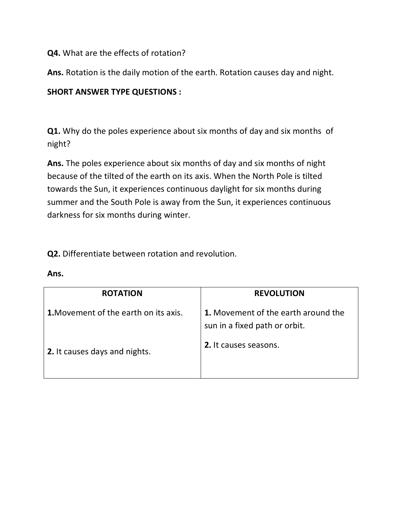## **Q4.** What are the effects of rotation?

**Ans.** Rotation is the daily motion of the earth. Rotation causes day and night.

## **SHORT ANSWER TYPE QUESTIONS :**

**Q1.** Why do the poles experience about six months of day and six months of night?

**Ans.** The poles experience about six months of day and six months of night because of the tilted of the earth on its axis. When the North Pole is tilted towards the Sun, it experiences continuous daylight for six months during summer and the South Pole is away from the Sun, it experiences continuous darkness for six months during winter.

**Q2.** Differentiate between rotation and revolution.

| <b>ROTATION</b>                              | <b>REVOLUTION</b>                                                    |
|----------------------------------------------|----------------------------------------------------------------------|
| <b>1.</b> Movement of the earth on its axis. | 1. Movement of the earth around the<br>sun in a fixed path or orbit. |
| 2. It causes days and nights.                | 2. It causes seasons.                                                |

#### **Ans.**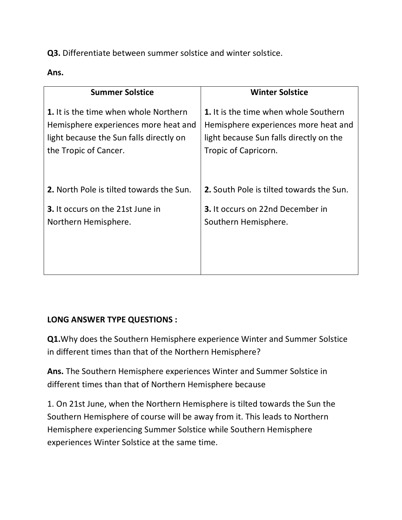**Q3.** Differentiate between summer solstice and winter solstice.

**Ans.** 

| <b>Summer Solstice</b>                          | <b>Winter Solstice</b>                   |
|-------------------------------------------------|------------------------------------------|
| 1. It is the time when whole Northern           | 1. It is the time when whole Southern    |
| Hemisphere experiences more heat and            | Hemisphere experiences more heat and     |
| light because the Sun falls directly on         | light because Sun falls directly on the  |
| the Tropic of Cancer.                           | Tropic of Capricorn.                     |
| <b>2.</b> North Pole is tilted towards the Sun. | 2. South Pole is tilted towards the Sun. |
| <b>3.</b> It occurs on the 21st June in         | <b>3.</b> It occurs on 22nd December in  |
| Northern Hemisphere.                            | Southern Hemisphere.                     |

### **LONG ANSWER TYPE QUESTIONS :**

**Q1.**Why does the Southern Hemisphere experience Winter and Summer Solstice in different times than that of the Northern Hemisphere?

**Ans.** The Southern Hemisphere experiences Winter and Summer Solstice in different times than that of Northern Hemisphere because

1. On 21st June, when the Northern Hemisphere is tilted towards the Sun the Southern Hemisphere of course will be away from it. This leads to Northern Hemisphere experiencing Summer Solstice while Southern Hemisphere experiences Winter Solstice at the same time.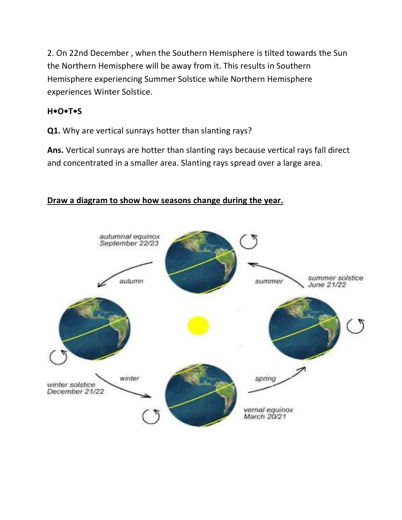2. On 22nd December , when the Southern Hemisphere is tilted towards the Sun the Northern Hemisphere will be away from it. This results in Southern Hemisphere experiencing Summer Solstice while Northern Hemisphere experiences Winter Solstice.

## **H•O•T•S**

**Q1.** Why are vertical sunrays hotter than slanting rays?

**Ans.** Vertical sunrays are hotter than slanting rays because vertical rays fall direct and concentrated in a smaller area. Slanting rays spread over a large area.

## **Draw a diagram to show how seasons change during the year.**

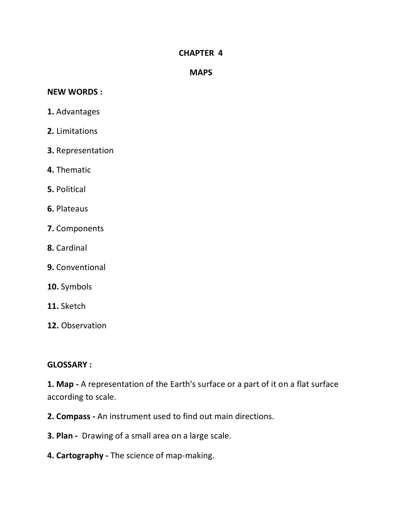#### **CHAPTER 4**

#### **MAPS**

#### **NEW WORDS :**

- **1.** Advantages
- **2.** Limitations
- **3.** Representation
- **4.** Thematic
- **5.** Political
- **6.** Plateaus
- **7.** Components
- **8.** Cardinal
- **9.** Conventional
- **10.** Symbols
- **11.** Sketch
- **12.** Observation

#### **GLOSSARY :**

**1. Map -** A representation of the Earth's surface or a part of it on a flat surface according to scale.

- **2. Compass -** An instrument used to find out main directions.
- **3. Plan -** Drawing of a small area on a large scale.
- **4. Cartography -** The science of map-making.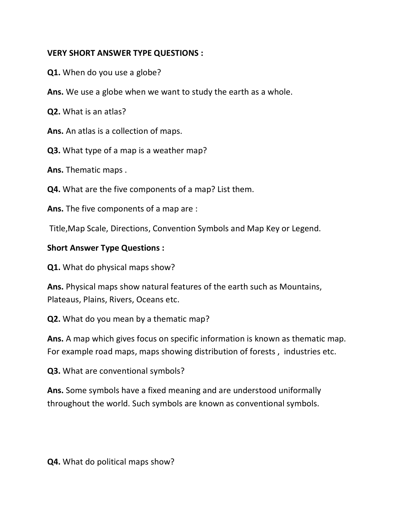## **VERY SHORT ANSWER TYPE QUESTIONS :**

**Q1.** When do you use a globe?

**Ans.** We use a globe when we want to study the earth as a whole.

**Q2.** What is an atlas?

**Ans.** An atlas is a collection of maps.

**Q3.** What type of a map is a weather map?

**Ans.** Thematic maps .

**Q4.** What are the five components of a map? List them.

**Ans.** The five components of a map are :

Title,Map Scale, Directions, Convention Symbols and Map Key or Legend.

### **Short Answer Type Questions :**

**Q1.** What do physical maps show?

**Ans.** Physical maps show natural features of the earth such as Mountains, Plateaus, Plains, Rivers, Oceans etc.

**Q2.** What do you mean by a thematic map?

**Ans.** A map which gives focus on specific information is known as thematic map. For example road maps, maps showing distribution of forests , industries etc.

**Q3.** What are conventional symbols?

**Ans.** Some symbols have a fixed meaning and are understood uniformally throughout the world. Such symbols are known as conventional symbols.

**Q4.** What do political maps show?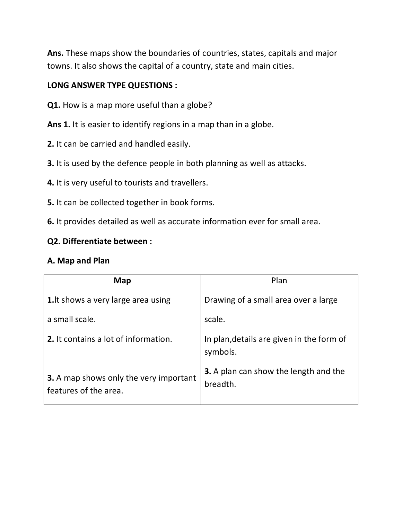**Ans.** These maps show the boundaries of countries, states, capitals and major towns. It also shows the capital of a country, state and main cities.

## **LONG ANSWER TYPE QUESTIONS :**

- **Q1.** How is a map more useful than a globe?
- Ans 1. It is easier to identify regions in a map than in a globe.
- **2.** It can be carried and handled easily.
- **3.** It is used by the defence people in both planning as well as attacks.
- **4.** It is very useful to tourists and travellers.
- **5.** It can be collected together in book forms.
- **6.** It provides detailed as well as accurate information ever for small area.

### **Q2. Differentiate between :**

## **A. Map and Plan**

| Map                                                             | Plan                                                     |
|-----------------------------------------------------------------|----------------------------------------------------------|
| <b>1.</b> It shows a very large area using                      | Drawing of a small area over a large                     |
| a small scale.                                                  | scale.                                                   |
| 2. It contains a lot of information.                            | In plan, details are given in the form of<br>symbols.    |
| 3. A map shows only the very important<br>features of the area. | <b>3.</b> A plan can show the length and the<br>breadth. |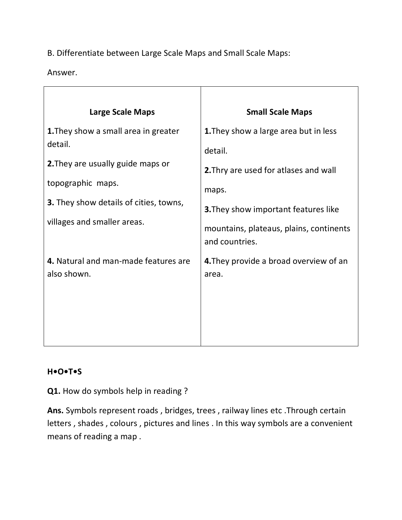# B. Differentiate between Large Scale Maps and Small Scale Maps:

Answer.

| <b>Large Scale Maps</b>                                                                                                                                                                          | <b>Small Scale Maps</b>                                                                                                                                                                      |
|--------------------------------------------------------------------------------------------------------------------------------------------------------------------------------------------------|----------------------------------------------------------------------------------------------------------------------------------------------------------------------------------------------|
| <b>1.</b> They show a small area in greater<br>detail.<br>2. They are usually guide maps or<br>topographic maps.<br><b>3.</b> They show details of cities, towns,<br>villages and smaller areas. | 1. They show a large area but in less<br>detail.<br>2. Thry are used for atlases and wall<br>maps.<br><b>3.</b> They show important features like<br>mountains, plateaus, plains, continents |
| 4. Natural and man-made features are<br>also shown.                                                                                                                                              | and countries.<br>4. They provide a broad overview of an<br>area.                                                                                                                            |

# **H•O•T•S**

**Q1.** How do symbols help in reading ?

**Ans.** Symbols represent roads , bridges, trees , railway lines etc .Through certain letters , shades , colours , pictures and lines . In this way symbols are a convenient means of reading a map .